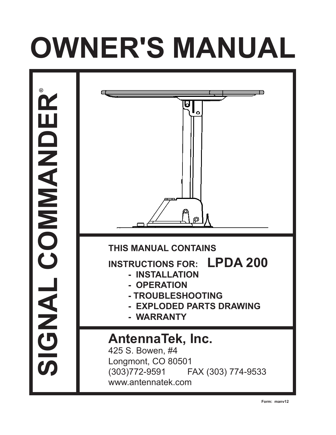# **OWNER'S MANUAL**



**Form: manv12**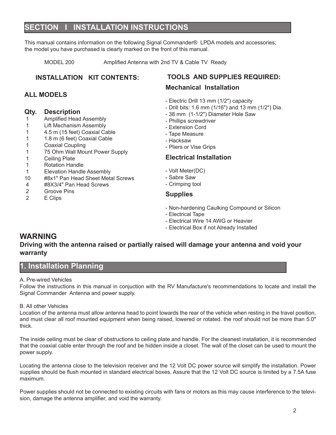# **ECTION I INSTALLATION INSTRUCTIONS**

This manual contains information on the following Signal Commander® LPDA models and accessories; the model you have purchased is clearly marked on the front of this manual.

MODEL 200 Amplified Antenna with 2nd TV & Cable TV Ready

# **INSTALLATION KIT CONTENTS:**

# **ALL MODELS**

# **Qty. Description**

- Amplified Head Assembly
- 1 Lift Mechanism Assembly
- 1 4.5 m (15 feet) Coaxial Cable
- 1 1.8 m (6 feet) Coaxial Cable
- 1 Coaxial Coupling
- 1 75 Ohm Wall Mount Power Supply
- 1 Ceiling Plate
- 1 Rotation Handle
- 
- 1 Elevation Handle Assembly<br>10 #8x1" Pan Head Sheet Meta #8x1" Pan Head Sheet Metal Screws
- 4 #8X3/4" Pan Head Screws<br>2 Groove Pins
- Groove Pins
- 2 E Clips

# **TOOLS AND SUPPLIES REQUIRED:**

# **Mechanical Installation**

- Electric Drill 13 mm (1/2") capacity
- Drill bits: 1.6 mm (1/16") and 13 mm (1/2") Dia.
- 38 mm (1-1/2") Diameter Hole Saw
- Phillips screwdriver
- Extension Cord
- Tape Measure
- Hacksaw
- Pliers or Vise Grips

# **Electrical Installation**

- Volt Meter(DC)
- Sabre Saw
- Crimping tool

# **Supplies**

- Non-hardening Caulking Compound or Silicon
- Electrical Tape
- Electrical Wire 14 AWG or Heavier
- Electrical Box if not Already Installed

# **WARNING**

# **Driving with the antenna raised or partially raised will damage your antenna and void your warranty**

# **Installation Planning**

# A. Pre-wired Vehicles

Follow the instructions in this manual in conjuction with the RV Manufacture's recommendations to locate and install the Signal Commander Antenna and power supply.

# B. All other Vehicles

Location of the antenna must allow antenna head to point towards the rear of the vehicle when resting in the travel position, and must clear all roof mounted equipment when being raised, lowered or rotated. the roof should not be more than 5.0" thick.

The inside ceiling must be clear of obstructions to ceiling plate and handle. For the cleanest installation, it is recommended that the coaxial cable enter through the roof and be hidden inside a closet. The wall of the closet can be used to mount the power supply.

Locating the antenna close to the television receiver and the 12 Volt DC power source will simplify the installation. Power supplies should be flush mounted in standard electrical boxes. Assure that the 12 Volt DC source is limited by a 7.5A fuse maximum.

Power supplies should not be connected to existing circuits with fans or motors as this may cause interference to the television, damage the antenna amplifier, and void the warranty.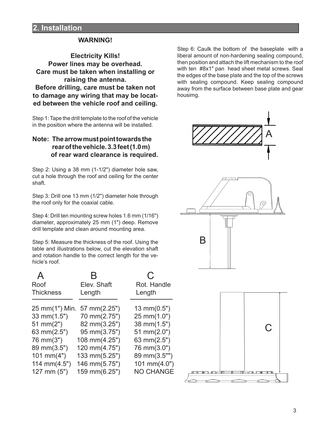# **WARNING!**

**Electricity Kills! Power lines may be overhead. Care must be taken when installing or raising the antenna. Before drilling, care must be taken not to damage any wiring that may be located between the vehicle roof and ceiling.**

Step 1: Tape the drill template to the roof of the vehicle in the position where the antenna will be installed.

# **Note: The arrow must point towards the rear of the vehicle. 3.3 feet (1.0 m) of rear ward clearance is required.**

Step 2: Using a 38 mm (1-1/2") diameter hole saw, cut a hole through the roof and ceiling for the center shaft.

Step 3: Drill one 13 mm (1/2") diameter hole through the roof only for the coaxial cable.

Step 4: Drill ten mounting screw holes 1.6 mm (1/16") diameter, approximately 25 mm (1") deep. Remove drill template and clean around mounting area.

Step 5: Measure the thickness of the roof. Using the table and illustrations below, cut the elevation shaft and rotation handle to the correct length for the vehicle's roof.

| Roof             | Elev. Shaft                 | Rot. Handle           |  |
|------------------|-----------------------------|-----------------------|--|
| <b>Thickness</b> | Length                      | Length                |  |
|                  |                             |                       |  |
|                  | 25 mm(1") Min. 57 mm(2.25") | $13 \text{ mm}(0.5")$ |  |
| 33 mm(1.5")      | 70 mm(2.75")                | 25 mm(1.0")           |  |
| 51 mm $(2")$     | 82 mm(3.25")                | 38 mm(1.5")           |  |
| 63 mm(2.5")      | 95 mm(3.75")                | 51 mm $(2.0")$        |  |
| 76 mm(3")        | 108 mm(4.25")               | 63 mm $(2.5")$        |  |
| 89 mm(3.5")      | 120 mm(4.75")               | 76 mm(3.0")           |  |
| 101 mm $(4")$    | 133 mm(5.25")               | 89 mm(3.5"")          |  |
| 114 mm $(4.5")$  | 146 mm(5.75")               | 101 mm(4.0")          |  |
| $127$ mm $(5")$  | 159 mm(6.25")               | <b>NO CHANGE</b>      |  |
|                  |                             |                       |  |

Step 6: Caulk the bottom of the baseplate with a liberal amount of non-hardening sealing compound, then position and attach the lift mechanism to the roof with ten #8x1" pan head sheet metal screws. Seal the edges of the base plate and the top of the screws with sealing compound. Keep sealing compound away from the surface between base plate and gear housimg.



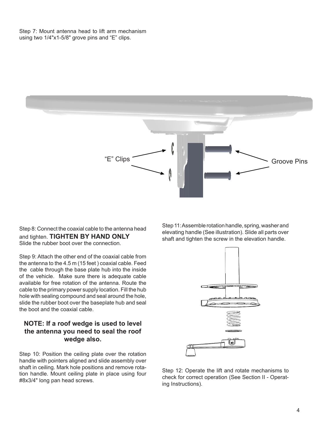Step 7: Mount antenna head to lift arm mechanism using two 1/4"x1-5/8" grove pins and "E" clips.



Step 8: Connect the coaxial cable to the antenna head and tighten. **TIGHTEN BY HAND ONLY** Slide the rubber boot over the connection.

Step 9: Attach the other end of the coaxial cable from the antenna to the 4.5 m (15 feet ) coaxial cable. Feed the cable through the base plate hub into the inside of the vehicle. Make sure there is adequate cable available for free rotation of the antenna. Route the cable to the primary power supply location. Fill the hub hole with sealing compound and seal around the hole, slide the rubber boot over the baseplate hub and seal the boot and the coaxial cable.

# **NOTE: If a roof wedge is used to level the antenna you need to seal the roof wedge also.**

Step 10: Position the ceiling plate over the rotation handle with pointers aligned and slide assembly over shaft in ceiling. Mark hole positions and remove rotation handle. Mount ceiling plate in place using four #8x3/4" long pan head screws.

Step 11: Assemble rotation handle, spring, washer and elevating handle (See illustration). Slide all parts over shaft and tighten the screw in the elevation handle.

![](_page_3_Figure_7.jpeg)

Step 12: Operate the lift and rotate mechanisms to check for correct operation (See Section II - Operating Instructions).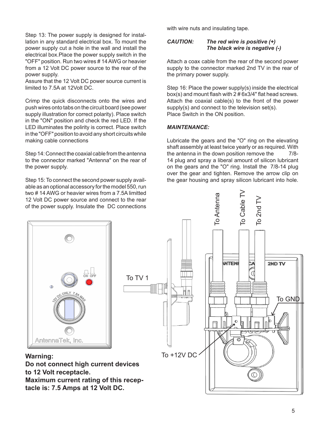Step 13: The power supply is designed for installation in any standard electrical box. To mount the power supply cut a hole in the wall and install the electrical box.Place the power supply switch in the "OFF" position. Run two wires # 14 AWG or heavier from a 12 Volt DC power source to the rear of the power supply.

Assure that the 12 Volt DC power source current is limited to 7.5A at 12Volt DC.

Crimp the quick disconnects onto the wires and push wires onto tabs on the circuit board (see power supply illustration for correct polarity). Place switch in the "ON" position and check the red LED. If the LED illuminates the polirity is correct. Place switch in the "OFF" position to avoid any short circuits while making cable connections

Step 14: Connect the coaxial cable from the antenna to the connector marked "Antenna" on the rear of the power supply.

Step 15: To connect the second power supply available as an optional accessory for the model 550, run two # 14 AWG or heavier wires from a 7.5A limitted 12 Volt DC power source and connect to the rear of the power supply. Insulate the DC connections

with wire nuts and insulating tape.

## *CAUTION: The red wire is positive (+) The black wire is negative (-)*

Attach a coax cable from the rear of the second power supply to the connector marked 2nd TV in the rear of the primary power supply.

Step 16: Place the power supply(s) inside the electrical box(s) and mount flash with 2 # 6x3/4" flat head screws. Attach the coaxial cable(s) to the front of the power supply(s) and connect to the television set(s). Place Switch in the ON position.

# *MAINTENANCE:*

Lubricate the gears and the "O" ring on the elevating shaft assembly at least twice yearly or as required. With the antenna in the down position remove the 7/8-14 plug and spray a liberal amount of silicon lubricant on the gears and the "O" ring. Install the 7/8-14 plug over the gear and tighten. Remove the arrow clip on the gear housing and spray silicon lubricant into hole.

![](_page_4_Figure_11.jpeg)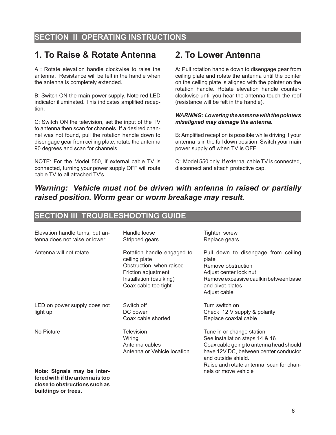# **SECTION II OPERATING INSTRUCTIONS**

# **1. To Raise & Rotate Antenna**

A : Rotate elevation handle clockwise to raise the antenna. Resistance will be felt in the handle when the antenna is completely extended.

B: Switch ON the main power supply. Note red LED indicator illuminated. This indicates amplified reception.

C: Switch ON the television, set the input of the TV to antenna then scan for channels. If a desired channel was not found, pull the rotation handle down to disengage gear from ceiling plate, rotate the antenna 90 degrees and scan for channels.

NOTE: For the Model 550, if external cable TV is connected, turning your power supply OFF will route cable TV to all attached TV's.

# **2. To Lower Antenna**

A: Pull rotation handle down to disengage gear from ceiling plate and rotate the antenna until the pointer on the ceiling plate is aligned with the pointer on the rotation handle. Rotate elevation handle counterclockwise until you hear the antenna touch the roof (resistance will be felt in the handle).

## *WARNING: Lowering the antenna with the pointers misaligned may damage the antenna.*

B: Amplified reception is possible while driving if your antenna is in the full down position. Switch your main power supply off when TV is OFF.

C: Model 550 only. If external cable TV is connected, disconnect and attach protective cap.

# *Warning: Vehicle must not be driven with antenna in raised or partially raised position. Worm gear or worm breakage may result.*

# **SECTION III TROUBLESHOOTING GUIDE**

| Elevation handle turns, but an-<br>tenna does not raise or lower                                 | Handle loose<br>Stripped gears                                                                                                                   | Tighten screw<br>Replace gears                                                                                                                                                                                     |  |
|--------------------------------------------------------------------------------------------------|--------------------------------------------------------------------------------------------------------------------------------------------------|--------------------------------------------------------------------------------------------------------------------------------------------------------------------------------------------------------------------|--|
| Antenna will not rotate                                                                          | Rotation handle engaged to<br>ceiling plate<br>Obstruction when raised<br>Friction adjustment<br>Installation (caulking)<br>Coax cable too tight | Pull down to disengage from ceiling<br>plate<br>Remove obstruction<br>Adjust center lock nut<br>Remove excessive caulkin between base<br>and pivot plates<br>Adjust cable                                          |  |
| LED on power supply does not<br>light up                                                         | Switch off<br>DC power<br>Coax cable shorted                                                                                                     | Turn switch on<br>Check 12 V supply & polarity<br>Replace coaxial cable                                                                                                                                            |  |
| No Picture                                                                                       | <b>Television</b><br>Wiring<br>Antenna cables<br>Antenna or Vehicle location                                                                     | Tune in or change station<br>See installation steps 14 & 16<br>Coax cable going to antenna head should<br>have 12V DC, between center conductor<br>and outside shield.<br>Raise and rotate antenna, scan for chan- |  |
| Note: Signals may be inter-<br>fered with if the antenna is too<br>close to obstructions such as |                                                                                                                                                  | nels or move vehicle                                                                                                                                                                                               |  |

**buildings or trees.**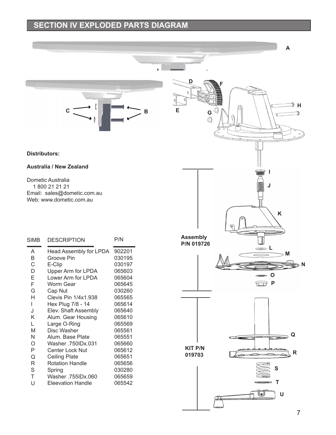# **SECTION IV EXPLODED PARTS DIAGRAM**

![](_page_6_Picture_1.jpeg)

# **Distributors:**

# **Australia / New Zealand**

Dometic Australia 1 800 21 21 21 Email: sales@dometic.com.au Web: www.dometic.com.au

| <b>SIMB</b>                                                                                      | <b>DESCRIPTION</b>                                                                                                                                                                                                                                                                                                                                                                                 | P/N                                                                                                                                                                                                  |
|--------------------------------------------------------------------------------------------------|----------------------------------------------------------------------------------------------------------------------------------------------------------------------------------------------------------------------------------------------------------------------------------------------------------------------------------------------------------------------------------------------------|------------------------------------------------------------------------------------------------------------------------------------------------------------------------------------------------------|
| A<br>B<br>C<br>D<br>E<br>F<br>G<br>Н<br>L<br>J<br>K<br>L<br>M<br>N<br>O<br>Ρ<br>Q<br>R<br>S<br>T | <b>Head Assembly for LPDA</b><br>Groove Pin<br>E-Clip<br>Upper Arm for LPDA<br>Lower Arm for LPDA<br>Worm Gear<br>Cap Nut<br><b>Clevis Pin 1/4x1.938</b><br>Hex Plug 7/8 - 14<br>Elev. Shaft Assembly<br>Alum. Gear Housing<br>Large O-Ring<br>Disc Washer<br>Alum. Base Plate<br>Washer .750IDx.031<br>Center Lock Nut<br>Ceiling Plate<br><b>Rotation Handle</b><br>Spring<br>Washer .755IDx.060 | 902201<br>030195<br>030197<br>065603<br>065604<br>065645<br>030260<br>065565<br>065614<br>065640<br>065610<br>065569<br>065561<br>065551<br>065660<br>065612<br>065651<br>065656<br>030280<br>065659 |
| U                                                                                                | <b>Eleevation Handle</b>                                                                                                                                                                                                                                                                                                                                                                           | 065542                                                                                                                                                                                               |

![](_page_6_Figure_6.jpeg)

**A**